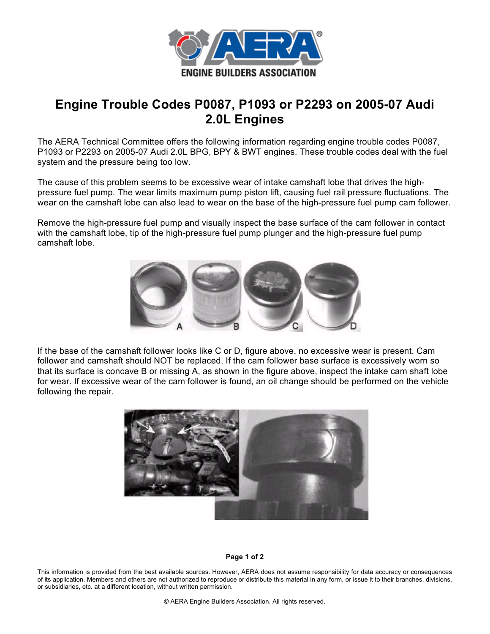

## **Engine Trouble Codes P0087, P1093 or P2293 on 2005-07 Audi 2.0L Engines**

The AERA Technical Committee offers the following information regarding engine trouble codes P0087, P1093 or P2293 on 2005-07 Audi 2.0L BPG, BPY & BWT engines. These trouble codes deal with the fuel system and the pressure being too low.

The cause of this problem seems to be excessive wear of intake camshaft lobe that drives the highpressure fuel pump. The wear limits maximum pump piston lift, causing fuel rail pressure fluctuations. The wear on the camshaft lobe can also lead to wear on the base of the high-pressure fuel pump cam follower.

Remove the high-pressure fuel pump and visually inspect the base surface of the cam follower in contact with the camshaft lobe, tip of the high-pressure fuel pump plunger and the high-pressure fuel pump camshaft lobe.



If the base of the camshaft follower looks like C or D, figure above, no excessive wear is present. Cam follower and camshaft should NOT be replaced. If the cam follower base surface is excessively worn so that its surface is concave B or missing A, as shown in the figure above, inspect the intake cam shaft lobe for wear. If excessive wear of the cam follower is found, an oil change should be performed on the vehicle following the repair.



## **Page 1 of 2**

This information is provided from the best available sources. However, AERA does not assume responsibility for data accuracy or consequences of its application. Members and others are not authorized to reproduce or distribute this material in any form, or issue it to their branches, divisions, or subsidiaries, etc. at a different location, without written permission.